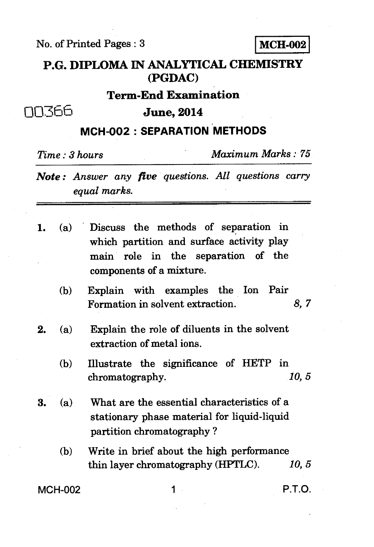**No. of Printed Pages : 3 MCH-002** 

## **P.G. DIPLOMA IN ANALYTICAL CHEMISTRY (PGDAC)**

## **Term-End Examination**

00366

**June, 2014** 

## **MCH-002 : SEPARATION METHODS**

*Time : 3 hours Maximum Marks : 75* 

*Note : Answer any five questions. All questions carry equal marks.* 

| 1. (a) Discuss the methods of separation in |
|---------------------------------------------|
| which partition and surface activity play   |
| main role in the separation of the          |
| components of a mixture.                    |

- **(b) Explain with examples the Ion Pair Formation in solvent extraction.** *8, 7*
- **2. (a) Explain the role of diluents in the solvent extraction of metal ions.** 
	- **(b) Illustrate the significance of HETP in**  chromatography.
- **3. (a) What are the essential characteristics of a stationary phase material for liquid-liquid partition chromatography ?** 
	- **(b) Write in brief about the high performance thin layer chromatography (HPTLC).** *10, 5*

**MCH-002 1 P.T.O.**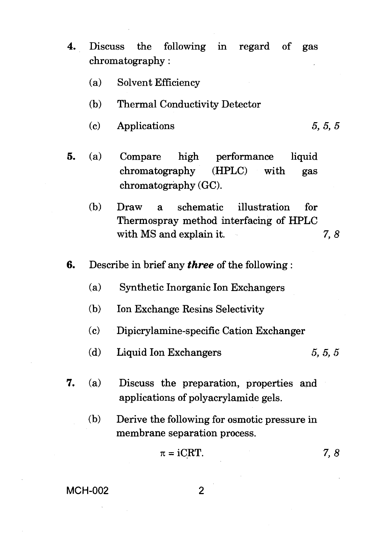- **4.** Discuss the following in regard of gas chromatography :
	- (a) Solvent Efficiency
	- (b) Thermal Conductivity Detector
	- (c) Applications 5, *5, 5*
- **5.** (a) Compare high performance liquid chromatography (HPLC) with gas chromatography (GC).
	- (b) Draw a schematic illustration for Thermospray method interfacing of HPLC with MS and explain it. 7, 8
- **6.** Describe in brief any *three* of the following :
	- (a) Synthetic Inorganic Ion Exchangers
	- (b) Ion Exchange Resins Selectivity
	- (c) Dipicrylamine-specific Cation Exchanger
	- (d) Liquid Ion Exchangers  $5, 5, 5$
- **7.** (a) Discuss the preparation, properties and applications of polyacrylamide gels.
	- (b) Derive the following for osmotic pressure in membrane separation process.

$$
\pi = iCRT. \t\t\t 7, 8
$$

## **MCH-002**